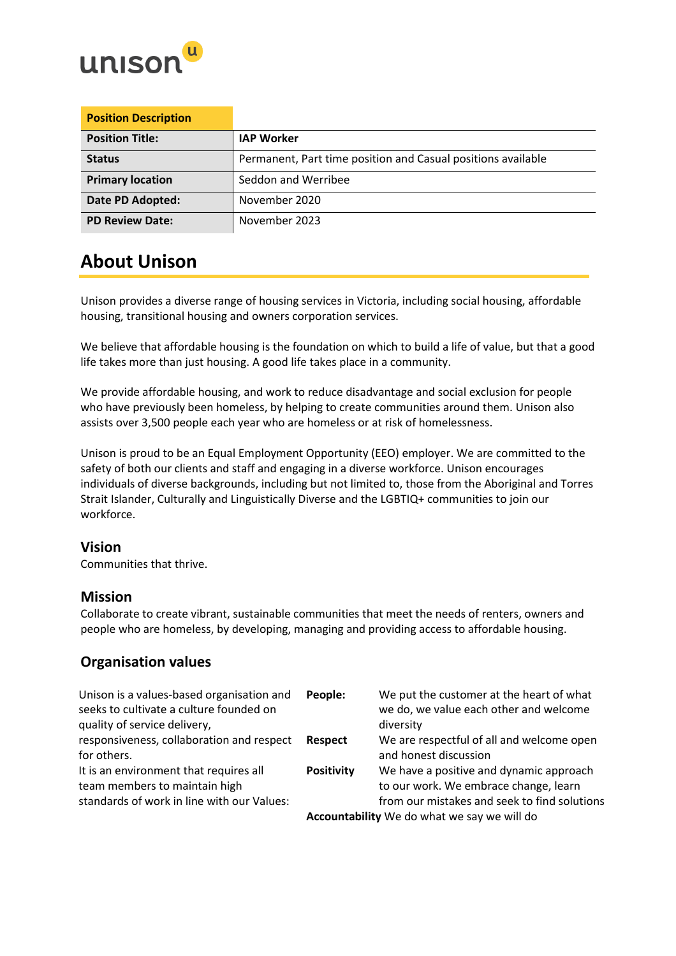

| <b>Position Description</b> |                                                              |
|-----------------------------|--------------------------------------------------------------|
| <b>Position Title:</b>      | <b>IAP Worker</b>                                            |
| <b>Status</b>               | Permanent, Part time position and Casual positions available |
| <b>Primary location</b>     | Seddon and Werribee                                          |
| Date PD Adopted:            | November 2020                                                |
| <b>PD Review Date:</b>      | November 2023                                                |

## **About Unison**

Unison provides a diverse range of housing services in Victoria, including social housing, affordable housing, transitional housing and owners corporation services.

We believe that affordable housing is the foundation on which to build a life of value, but that a good life takes more than just housing. A good life takes place in a community.

We provide affordable housing, and work to reduce disadvantage and social exclusion for people who have previously been homeless, by helping to create communities around them. Unison also assists over 3,500 people each year who are homeless or at risk of homelessness.

Unison is proud to be an Equal Employment Opportunity (EEO) employer. We are committed to the safety of both our clients and staff and engaging in a diverse workforce. Unison encourages individuals of diverse backgrounds, including but not limited to, those from the Aboriginal and Torres Strait Islander, Culturally and Linguistically Diverse and the LGBTIQ+ communities to join our workforce.

### **Vision**

Communities that thrive.

### **Mission**

Collaborate to create vibrant, sustainable communities that meet the needs of renters, owners and people who are homeless, by developing, managing and providing access to affordable housing.

## **Organisation values**

| Unison is a values-based organisation and<br>seeks to cultivate a culture founded on<br>quality of service delivery,  | People:                                     | We put the customer at the heart of what<br>we do, we value each other and welcome<br>diversity                                  |
|-----------------------------------------------------------------------------------------------------------------------|---------------------------------------------|----------------------------------------------------------------------------------------------------------------------------------|
| responsiveness, collaboration and respect<br>for others.                                                              | <b>Respect</b>                              | We are respectful of all and welcome open<br>and honest discussion                                                               |
| It is an environment that requires all<br>team members to maintain high<br>standards of work in line with our Values: | <b>Positivity</b>                           | We have a positive and dynamic approach<br>to our work. We embrace change, learn<br>from our mistakes and seek to find solutions |
|                                                                                                                       | Accountability We do what we say we will do |                                                                                                                                  |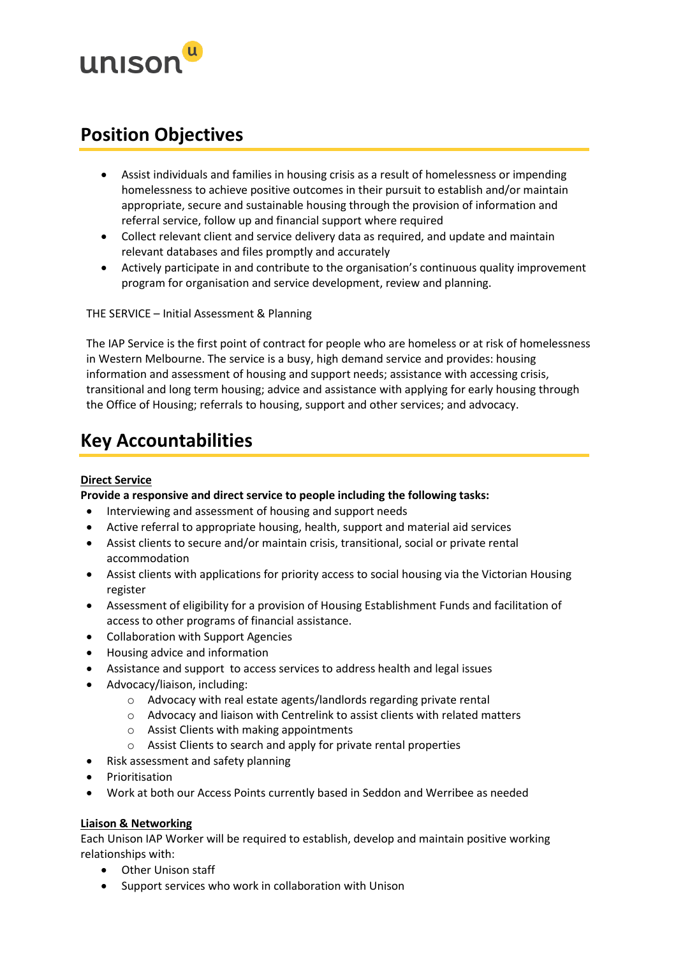

## **Position Objectives**

- Assist individuals and families in housing crisis as a result of homelessness or impending homelessness to achieve positive outcomes in their pursuit to establish and/or maintain appropriate, secure and sustainable housing through the provision of information and referral service, follow up and financial support where required
- Collect relevant client and service delivery data as required, and update and maintain relevant databases and files promptly and accurately
- Actively participate in and contribute to the organisation's continuous quality improvement program for organisation and service development, review and planning.

THE SERVICE – Initial Assessment & Planning

The IAP Service is the first point of contract for people who are homeless or at risk of homelessness in Western Melbourne. The service is a busy, high demand service and provides: housing information and assessment of housing and support needs; assistance with accessing crisis, transitional and long term housing; advice and assistance with applying for early housing through the Office of Housing; referrals to housing, support and other services; and advocacy.

## **Key Accountabilities**

#### **Direct Service**

**Provide a responsive and direct service to people including the following tasks:**

- Interviewing and assessment of housing and support needs
- Active referral to appropriate housing, health, support and material aid services
- Assist clients to secure and/or maintain crisis, transitional, social or private rental accommodation
- Assist clients with applications for priority access to social housing via the Victorian Housing register
- Assessment of eligibility for a provision of Housing Establishment Funds and facilitation of access to other programs of financial assistance.
- Collaboration with Support Agencies
- Housing advice and information
- Assistance and support to access services to address health and legal issues
- Advocacy/liaison, including:
	- o Advocacy with real estate agents/landlords regarding private rental
	- o Advocacy and liaison with Centrelink to assist clients with related matters
	- o Assist Clients with making appointments
	- o Assist Clients to search and apply for private rental properties
- Risk assessment and safety planning
- **Prioritisation**
- Work at both our Access Points currently based in Seddon and Werribee as needed

#### **Liaison & Networking**

Each Unison IAP Worker will be required to establish, develop and maintain positive working relationships with:

- Other Unison staff
- Support services who work in collaboration with Unison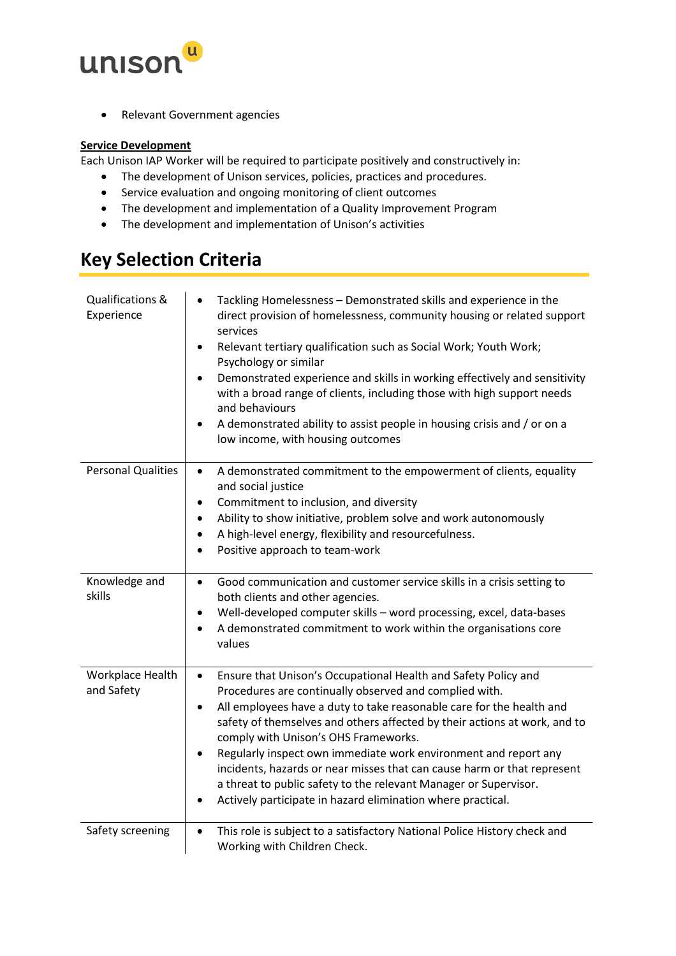

• Relevant Government agencies

#### **Service Development**

Each Unison IAP Worker will be required to participate positively and constructively in:

- The development of Unison services, policies, practices and procedures.
- Service evaluation and ongoing monitoring of client outcomes
- The development and implementation of a Quality Improvement Program
- The development and implementation of Unison's activities

# **Key Selection Criteria**

| Qualifications &<br>Experience | Tackling Homelessness - Demonstrated skills and experience in the<br>$\bullet$<br>direct provision of homelessness, community housing or related support<br>services<br>Relevant tertiary qualification such as Social Work; Youth Work;<br>$\bullet$<br>Psychology or similar<br>Demonstrated experience and skills in working effectively and sensitivity<br>$\bullet$<br>with a broad range of clients, including those with high support needs<br>and behaviours<br>A demonstrated ability to assist people in housing crisis and / or on a<br>$\bullet$<br>low income, with housing outcomes                                                  |
|--------------------------------|----------------------------------------------------------------------------------------------------------------------------------------------------------------------------------------------------------------------------------------------------------------------------------------------------------------------------------------------------------------------------------------------------------------------------------------------------------------------------------------------------------------------------------------------------------------------------------------------------------------------------------------------------|
| <b>Personal Qualities</b>      | A demonstrated commitment to the empowerment of clients, equality<br>$\bullet$<br>and social justice<br>Commitment to inclusion, and diversity<br>$\bullet$<br>Ability to show initiative, problem solve and work autonomously<br>A high-level energy, flexibility and resourcefulness.<br>Positive approach to team-work                                                                                                                                                                                                                                                                                                                          |
| Knowledge and<br>skills        | Good communication and customer service skills in a crisis setting to<br>$\bullet$<br>both clients and other agencies.<br>Well-developed computer skills - word processing, excel, data-bases<br>$\bullet$<br>A demonstrated commitment to work within the organisations core<br>$\bullet$<br>values                                                                                                                                                                                                                                                                                                                                               |
| Workplace Health<br>and Safety | Ensure that Unison's Occupational Health and Safety Policy and<br>$\bullet$<br>Procedures are continually observed and complied with.<br>All employees have a duty to take reasonable care for the health and<br>$\bullet$<br>safety of themselves and others affected by their actions at work, and to<br>comply with Unison's OHS Frameworks.<br>Regularly inspect own immediate work environment and report any<br>$\bullet$<br>incidents, hazards or near misses that can cause harm or that represent<br>a threat to public safety to the relevant Manager or Supervisor.<br>Actively participate in hazard elimination where practical.<br>٠ |
| Safety screening               | This role is subject to a satisfactory National Police History check and<br>$\bullet$<br>Working with Children Check.                                                                                                                                                                                                                                                                                                                                                                                                                                                                                                                              |